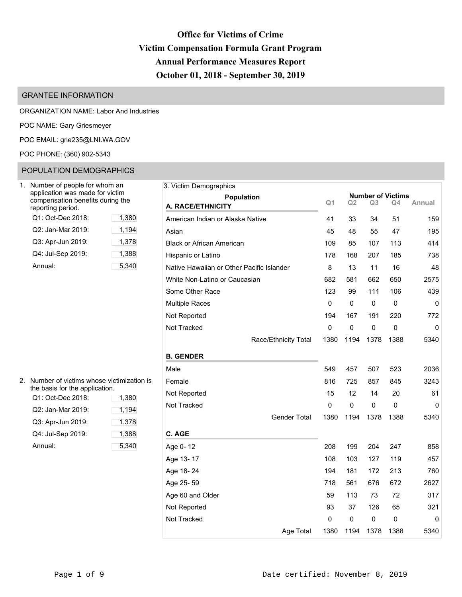# **Office for Victims of Crime Victim Compensation Formula Grant Program Annual Performance Measures Report October 01, 2018 - September 30, 2019**

# GRANTEE INFORMATION

ORGANIZATION NAME: Labor And Industries

POC NAME: Gary Griesmeyer

POC EMAIL: [grie235@LNI.WA.GOV](mailto:grie235@LNI.WA.GOV)

POC PHONE: (360) 902-5343

# POPULATION DEMOGRAPHICS

| 1. | Number of people for whom an<br>application was made for victim<br>compensation benefits during the<br>reporting period. |       |
|----|--------------------------------------------------------------------------------------------------------------------------|-------|
|    | Q1: Oct-Dec 2018:                                                                                                        | 1,380 |
|    | Q2: Jan-Mar 2019:                                                                                                        | 1,194 |
|    | Q3: Apr-Jun 2019:                                                                                                        | 1,378 |
|    | Q4: Jul-Sep 2019:                                                                                                        | 1,388 |
|    | Annual:                                                                                                                  | 5.340 |

| $2_{-}$ | Number of victims whose victimization is<br>the basis for the application. |       |
|---------|----------------------------------------------------------------------------|-------|
|         | Q1: Oct-Dec 2018:                                                          | 1,380 |
|         | Q2: Jan-Mar 2019:                                                          | 1,194 |
|         | Q3: Apr-Jun 2019:                                                          | 1,378 |
|         | Q4: Jul-Sep 2019:                                                          | 1,388 |
|         | Annual:                                                                    | 5.340 |

| 3. Victim Demographics                    |             |             |           |                          |        |
|-------------------------------------------|-------------|-------------|-----------|--------------------------|--------|
| Population                                |             |             |           | <b>Number of Victims</b> |        |
| A. RACE/ETHNICITY                         | Q1          | Q2          | Q3        | O4                       | Annual |
| American Indian or Alaska Native          | 41          | 33          | 34        | 51                       | 159    |
| Asian                                     | 45          | 48          | 55        | 47                       | 195    |
| <b>Black or African American</b>          | 109         | 85          | 107       | 113                      | 414    |
| Hispanic or Latino                        | 178         | 168         | 207       | 185                      | 738    |
| Native Hawaiian or Other Pacific Islander | 8           | 13          | 11        | 16                       | 48     |
| White Non-Latino or Caucasian             | 682         | 581         | 662       | 650                      | 2575   |
| Some Other Race                           | 123         | 99          | 111       | 106                      | 439    |
| <b>Multiple Races</b>                     | $\mathbf 0$ | 0           | 0         | $\mathbf 0$              | 0      |
| Not Reported                              | 194         | 167         | 191       | 220                      | 772    |
| Not Tracked                               | $\mathbf 0$ | $\mathbf 0$ | $\pmb{0}$ | $\pmb{0}$                | 0      |
| Race/Ethnicity Total                      | 1380        | 1194        | 1378      | 1388                     | 5340   |
| <b>B. GENDER</b>                          |             |             |           |                          |        |
| Male                                      | 549         | 457         | 507       | 523                      | 2036   |
| Female                                    | 816         | 725         | 857       | 845                      | 3243   |
| Not Reported                              | 15          | 12          | 14        | 20                       | 61     |
| Not Tracked                               | 0           | 0           | 0         | $\mathbf 0$              | 0      |
| <b>Gender Total</b>                       | 1380        | 1194        | 1378      | 1388                     | 5340   |
| C. AGE                                    |             |             |           |                          |        |
| Age 0-12                                  | 208         | 199         | 204       | 247                      | 858    |
| Age 13-17                                 | 108         | 103         | 127       | 119                      | 457    |
| Age 18-24                                 | 194         | 181         | 172       | 213                      | 760    |
| Age 25-59                                 | 718         | 561         | 676       | 672                      | 2627   |
| Age 60 and Older                          | 59          | 113         | 73        | 72                       | 317    |
| Not Reported                              | 93          | 37          | 126       | 65                       | 321    |
| Not Tracked                               | 0           | 0           | 0         | 0                        | 0      |
| Age Total                                 | 1380        | 1194        | 1378      | 1388                     | 5340   |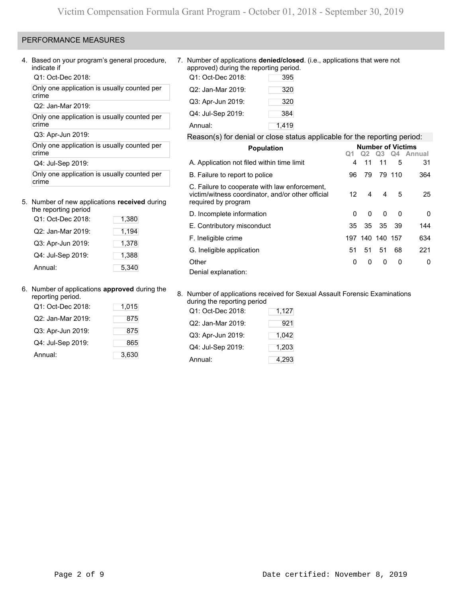# PERFORMANCE MEASURES

4. Based on your program's general procedure, indicate if

Q1: Oct-Dec 2018:

Only one application is usually counted per crime

Q2: Jan-Mar 2019:

Only one application is usually counted per crime

Q3: Apr-Jun 2019:

Only one application is usually counted per crime

Q4: Jul-Sep 2019:

Only one application is usually counted per crime

#### 5. Number of new applications **received** during the reporting period

| <u>IIC ICDOIIIIU DEIIOU</u> |       |
|-----------------------------|-------|
| Q1: Oct-Dec 2018:           | 1,380 |
| Q2: Jan-Mar 2019:           | 1,194 |
| Q3: Apr-Jun 2019:           | 1,378 |
| Q4: Jul-Sep 2019:           | 1,388 |
| Annual:                     | 5,340 |

6. Number of applications **approved** during the

| reporting period. |       |
|-------------------|-------|
| Q1: Oct-Dec 2018: | 1,015 |
| Q2: Jan-Mar 2019: | 875   |
| Q3: Apr-Jun 2019: | 875   |
| Q4: Jul-Sep 2019: | 865   |
| Annual:           | 3,630 |

7. Number of applications **denied/closed**. (i.e., applications that were not approved) during the reporting period.

| Q1: Oct-Dec 2018: | 395   |
|-------------------|-------|
| Q2: Jan-Mar 2019: | 320   |
| Q3: Apr-Jun 2019: | 320   |
| Q4: Jul-Sep 2019: | 384   |
| Annual:           | 1,419 |

#### Reason(s) for denial or close status applicable for the reporting period:

| <b>Population</b>                                                                                                         |    | <b>Number of Victims</b> |          |          |                                                     |
|---------------------------------------------------------------------------------------------------------------------------|----|--------------------------|----------|----------|-----------------------------------------------------|
|                                                                                                                           |    |                          |          |          | Q <sub>2</sub> Q <sub>3</sub> Q <sub>4</sub> Annual |
| A. Application not filed within time limit                                                                                | 4  | 11                       | 11       | 5        | 31                                                  |
| B. Failure to report to police                                                                                            | 96 | 79                       |          | 79 110   | 364                                                 |
| C. Failure to cooperate with law enforcement,<br>victim/witness coordinator, and/or other official<br>required by program | 12 | 4                        | 4        | 5        | 25                                                  |
| D. Incomplete information                                                                                                 | 0  | <sup>0</sup>             | $\Omega$ | $\Omega$ | 0                                                   |
| E. Contributory misconduct                                                                                                | 35 | 35                       | 35       | - 39     | 144                                                 |
| F. Ineligible crime                                                                                                       |    | 197 140 140 157          |          |          | 634                                                 |
| G. Ineligible application                                                                                                 | 51 | 51                       | 51       | 68       | 221                                                 |
| Other                                                                                                                     | 0  | 0                        | 0        | 0        | 0                                                   |
| Denial explanation:                                                                                                       |    |                          |          |          |                                                     |

#### 8. Number of applications received for Sexual Assault Forensic Examinations during the reporting period

| Q1: Oct-Dec 2018: | 1,127 |
|-------------------|-------|
| Q2: Jan-Mar 2019: | 921   |
| Q3: Apr-Jun 2019: | 1,042 |
| Q4: Jul-Sep 2019: | 1,203 |
| Annual:           | 4,293 |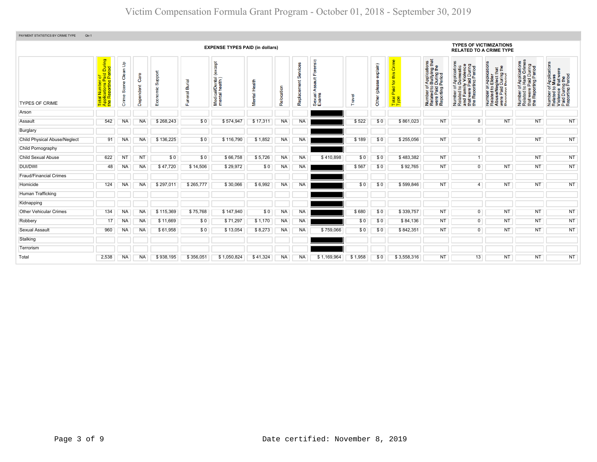| PAYMENT STATISTICS BY CRIME TYPE<br>Qtr:1 |                                                                                                                                |                                                     |                   |                                |                    |                                                   |               |            |                         |                                       |         |                              |                                                                         |                                                                                                                                                   |                                                                                                                                                                    |                                                                                                                                                                        |                                                                                                             |                                                                                                        |
|-------------------------------------------|--------------------------------------------------------------------------------------------------------------------------------|-----------------------------------------------------|-------------------|--------------------------------|--------------------|---------------------------------------------------|---------------|------------|-------------------------|---------------------------------------|---------|------------------------------|-------------------------------------------------------------------------|---------------------------------------------------------------------------------------------------------------------------------------------------|--------------------------------------------------------------------------------------------------------------------------------------------------------------------|------------------------------------------------------------------------------------------------------------------------------------------------------------------------|-------------------------------------------------------------------------------------------------------------|--------------------------------------------------------------------------------------------------------|
|                                           |                                                                                                                                |                                                     |                   |                                |                    | <b>EXPENSE TYPES PAID (in dollars)</b>            |               |            |                         |                                       |         |                              |                                                                         |                                                                                                                                                   | <b>TYPES OF VICTIMIZATIONS</b><br><b>RELATED TO A CRIME TYPE</b>                                                                                                   |                                                                                                                                                                        |                                                                                                             |                                                                                                        |
| <b>TYPES OF CRIME</b>                     | During<br>iod<br>nber of<br>Ins Paid<br>Iting Peri<br>a <mark>l Num</mark><br>blication<br>Reporti<br>Tota<br>App <sub>l</sub> | $\mathbf{f}$<br>Clean <sup>1</sup><br>Sœne<br>Crime | Care<br>Dependent | <b>Suppor</b><br>ric<br>$E$ co | ᠊ᢎ<br>ä<br>Funeral | <b>bept</b><br>Medical/Dental (<br>mental health) | Mental Health | Relocation | Services<br>Replacement | Forensic<br>±<br>∢<br>Sexual<br>Exams | Travel  | explain)<br>8<br>Other (plea | Crime<br>this<br>$\overline{\mathbf{r}}$<br>ipie<br>õ.<br>Total<br>Type | f Applications<br>Bullying that<br>During the<br><b>During</b><br>Period<br><u>ចំ ១ ថ្</u><br>Number of<br>Related to<br>were Paid<br>Reporting I | f Applications<br>Domestic<br>ly Violence<br>Number of Applications<br>Related to Domestic<br>and Family Violence<br>that were Paid During<br>the Reporting Period | ronteol<br>T Application<br><b>Elder</b><br><b>glect that</b><br>During the<br>Period<br>5Q<br>e/Ne<br>Paid<br>Number<br>Related t<br>Abuse/N<br>were Pai<br>Reporting | f Applications<br>Hate Crimes<br>that were Paid During<br>the Reporting Period<br>59<br>Number<br>Related t | Number of Applications<br>Related to Mass<br>Violence that were<br>Paid During the<br>Reporting Period |
| Arson                                     |                                                                                                                                |                                                     |                   |                                |                    |                                                   |               |            |                         |                                       |         |                              |                                                                         |                                                                                                                                                   |                                                                                                                                                                    |                                                                                                                                                                        |                                                                                                             |                                                                                                        |
| Assault                                   | 542                                                                                                                            | <b>NA</b>                                           | NA                | \$268,243                      | \$0                | \$574,947                                         | \$17,311      | <b>NA</b>  | <b>NA</b>               |                                       | \$522   | \$0                          | \$861,023                                                               | <b>NT</b>                                                                                                                                         | 8                                                                                                                                                                  | <b>NT</b>                                                                                                                                                              | <b>NT</b>                                                                                                   | <b>NT</b>                                                                                              |
| Burglary                                  |                                                                                                                                |                                                     |                   |                                |                    |                                                   |               |            |                         |                                       |         |                              |                                                                         |                                                                                                                                                   |                                                                                                                                                                    |                                                                                                                                                                        |                                                                                                             |                                                                                                        |
| <b>Child Physical Abuse/Neglect</b>       | 91                                                                                                                             | NA                                                  | <b>NA</b>         | \$136,225                      | \$0                | \$116,790                                         | \$1,852       | NA         | <b>NA</b>               |                                       | \$189   | \$0                          | \$255,056                                                               | <b>NT</b>                                                                                                                                         | $\overline{0}$                                                                                                                                                     |                                                                                                                                                                        | <b>NT</b>                                                                                                   | <b>NT</b>                                                                                              |
| Child Pornography                         |                                                                                                                                |                                                     |                   |                                |                    |                                                   |               |            |                         |                                       |         |                              |                                                                         |                                                                                                                                                   |                                                                                                                                                                    |                                                                                                                                                                        |                                                                                                             |                                                                                                        |
| <b>Child Sexual Abuse</b>                 | 622                                                                                                                            | NT                                                  | NT                | \$0                            | \$0                | \$66,758                                          | \$5,726       | <b>NA</b>  | <b>NA</b>               | \$410,898                             | \$0     | \$0                          | \$483,382                                                               | <b>NT</b>                                                                                                                                         | 1                                                                                                                                                                  |                                                                                                                                                                        | <b>NT</b>                                                                                                   | <b>NT</b>                                                                                              |
| <b>DUI/DWI</b>                            | 48                                                                                                                             | NA                                                  | <b>NA</b>         | \$47,720                       | \$14,506           | \$29,972                                          | \$0           | <b>NA</b>  | <b>NA</b>               |                                       | \$567   | \$0                          | \$92,765                                                                | <b>NT</b>                                                                                                                                         | $\overline{0}$                                                                                                                                                     | NT                                                                                                                                                                     | <b>NT</b>                                                                                                   | <b>NT</b>                                                                                              |
| <b>Fraud/Financial Crimes</b>             |                                                                                                                                |                                                     |                   |                                |                    |                                                   |               |            |                         |                                       |         |                              |                                                                         |                                                                                                                                                   |                                                                                                                                                                    |                                                                                                                                                                        |                                                                                                             |                                                                                                        |
| Homicide                                  | 124                                                                                                                            | <b>NA</b>                                           | NA                | \$297,011                      | \$265,777          | \$30,066                                          | \$6,992       | <b>NA</b>  | <b>NA</b>               |                                       | \$0     | \$0                          | \$599,846                                                               | <b>NT</b>                                                                                                                                         | 4                                                                                                                                                                  | <b>NT</b>                                                                                                                                                              | <b>NT</b>                                                                                                   | <b>NT</b>                                                                                              |
| Human Trafficking                         |                                                                                                                                |                                                     |                   |                                |                    |                                                   |               |            |                         |                                       |         |                              |                                                                         |                                                                                                                                                   |                                                                                                                                                                    |                                                                                                                                                                        |                                                                                                             |                                                                                                        |
| Kidnapping                                |                                                                                                                                |                                                     |                   |                                |                    |                                                   |               |            |                         |                                       |         |                              |                                                                         |                                                                                                                                                   |                                                                                                                                                                    |                                                                                                                                                                        |                                                                                                             |                                                                                                        |
| <b>Other Vehicular Crimes</b>             | 134                                                                                                                            | <b>NA</b>                                           | NA                | \$115,369                      | \$75,768           | \$147,940                                         | \$0           | <b>NA</b>  | <b>NA</b>               |                                       | \$680   | \$0                          | \$339,757                                                               | <b>NT</b>                                                                                                                                         | $\overline{0}$                                                                                                                                                     | <b>NT</b>                                                                                                                                                              | <b>NT</b>                                                                                                   | <b>NT</b>                                                                                              |
| Robbery                                   | 17                                                                                                                             | <b>NA</b>                                           | <b>NA</b>         | \$11,669                       | \$0                | \$71,297                                          | \$1,170       | <b>NA</b>  | NA                      |                                       | \$0     | \$0                          | \$84,136                                                                | <b>NT</b>                                                                                                                                         | $\overline{0}$                                                                                                                                                     | <b>NT</b>                                                                                                                                                              | <b>NT</b>                                                                                                   | <b>NT</b>                                                                                              |
| <b>Sexual Assault</b>                     | 960                                                                                                                            | <b>NA</b>                                           | <b>NA</b>         | \$61,958                       | \$0                | \$13,054                                          | \$8,273       | <b>NA</b>  | <b>NA</b>               | \$759,066                             | \$0     | \$0                          | \$842,351                                                               | <b>NT</b>                                                                                                                                         | $\overline{0}$                                                                                                                                                     | <b>NT</b>                                                                                                                                                              | <b>NT</b>                                                                                                   | <b>NT</b>                                                                                              |
| Stalking                                  |                                                                                                                                |                                                     |                   |                                |                    |                                                   |               |            |                         |                                       |         |                              |                                                                         |                                                                                                                                                   |                                                                                                                                                                    |                                                                                                                                                                        |                                                                                                             |                                                                                                        |
| Terrorism                                 |                                                                                                                                |                                                     |                   |                                |                    |                                                   |               |            |                         |                                       |         |                              |                                                                         |                                                                                                                                                   |                                                                                                                                                                    |                                                                                                                                                                        |                                                                                                             |                                                                                                        |
| Total                                     | 2,538                                                                                                                          | <b>NA</b>                                           | <b>NA</b>         | \$938,195                      | \$356,051          | \$1,050,824                                       | \$41,324      | <b>NA</b>  | NA.                     | \$1,169,964                           | \$1,958 | \$0                          | \$3,558,316                                                             | <b>NT</b>                                                                                                                                         | 13                                                                                                                                                                 | <b>NT</b>                                                                                                                                                              | <b>NT</b>                                                                                                   | <b>NT</b>                                                                                              |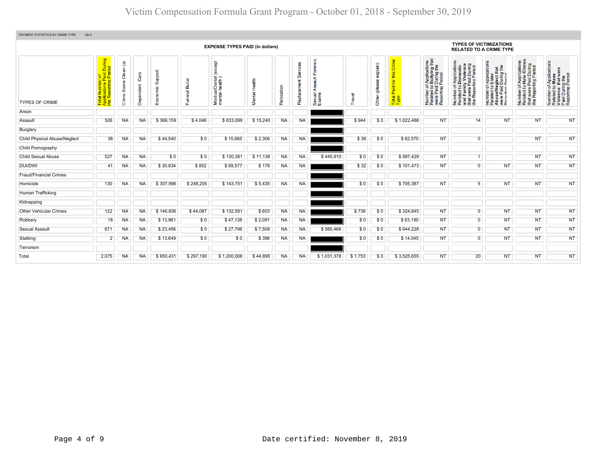| PAYMENT STATISTICS BY CRIME TYPE<br>Qtr:2 |                                                                                    |                             |                   |                     |                          |                                              |                  |            |                         |                                       |         |                           |                                            |                                                                                                                       |                                                                                                                                                               |                                                                                                                                                          |                                                                                                                                       |                                                                                                        |
|-------------------------------------------|------------------------------------------------------------------------------------|-----------------------------|-------------------|---------------------|--------------------------|----------------------------------------------|------------------|------------|-------------------------|---------------------------------------|---------|---------------------------|--------------------------------------------|-----------------------------------------------------------------------------------------------------------------------|---------------------------------------------------------------------------------------------------------------------------------------------------------------|----------------------------------------------------------------------------------------------------------------------------------------------------------|---------------------------------------------------------------------------------------------------------------------------------------|--------------------------------------------------------------------------------------------------------|
|                                           |                                                                                    |                             |                   |                     |                          | <b>EXPENSE TYPES PAID (in dollars)</b>       |                  |            |                         |                                       |         |                           |                                            |                                                                                                                       | <b>TYPES OF VICTIMIZATIONS</b><br><b>RELATED TO A CRIME TYPE</b>                                                                                              |                                                                                                                                                          |                                                                                                                                       |                                                                                                        |
| <b>TYPES OF CRIME</b>                     | tal Number of<br>plications Paid During<br>∍ Reporting Period<br><b>Top</b><br>App | Clean Up<br>Scene<br>Crime: | Care<br>Dependent | Support<br>Economic | <b>Burial</b><br>Funeral | except<br>Medical/Dental (<br>mental health) | Health<br>Mental | Relocation | Services<br>Replacement | Forensic<br>ã<br>⋖<br>Sexual<br>Exams | Travel  | explain)<br>Other (please | Crime<br>this<br>Paid for<br>Total<br>Type | f Applications<br>b Bullying that<br>I During the<br>Period<br>Number of,<br>Related to I<br>were Paid<br>Reporting F | mber of Applications<br>lated to Domestic<br>d Family Violence<br>tt were Paid During<br>» Reporting Period<br>Number<br>Related<br>and Fam<br>E <sup>e</sup> | r Applications<br>Elder<br>eglect that<br>I During the<br>Period<br>Number of <i>I</i><br>Related to <b>E</b><br>Abuse/Neg<br>were Paid L<br>Reporting P | <b>Applications</b><br>Hate Crimes<br>Paid During<br>fing Period<br>$\frac{1}{6}$<br>that were F<br>the Report<br>Number<br>Related t | Number of Applications<br>Related to Mass<br>Violence that were<br>Paid During the<br>Reporting Period |
| Arson                                     |                                                                                    |                             |                   |                     |                          |                                              |                  |            |                         |                                       |         |                           |                                            |                                                                                                                       |                                                                                                                                                               |                                                                                                                                                          |                                                                                                                                       |                                                                                                        |
| Assault                                   | 526                                                                                | <b>NA</b>                   | <b>NA</b>         | \$369,159           | \$4,046                  | \$633,099                                    | \$15,240         | <b>NA</b>  | <b>NA</b>               |                                       | \$944   | \$0                       | \$1,022,488                                | <b>NT</b>                                                                                                             | 14                                                                                                                                                            | <b>NT</b>                                                                                                                                                | <b>NT</b>                                                                                                                             | <b>NT</b>                                                                                              |
| Burglary                                  |                                                                                    |                             |                   |                     |                          |                                              |                  |            |                         |                                       |         |                           |                                            |                                                                                                                       |                                                                                                                                                               |                                                                                                                                                          |                                                                                                                                       |                                                                                                        |
| <b>Child Physical Abuse/Neglect</b>       | 38                                                                                 | <b>NA</b>                   | <b>NA</b>         | \$44,540            | \$0                      | \$15,685                                     | \$2,306          | <b>NA</b>  | <b>NA</b>               |                                       | \$39    | \$0                       | \$62,570                                   | <b>NT</b>                                                                                                             | $\overline{0}$                                                                                                                                                |                                                                                                                                                          | <b>NT</b>                                                                                                                             | <b>NT</b>                                                                                              |
| Child Pornography                         |                                                                                    |                             |                   |                     |                          |                                              |                  |            |                         |                                       |         |                           |                                            |                                                                                                                       |                                                                                                                                                               |                                                                                                                                                          |                                                                                                                                       |                                                                                                        |
| <b>Child Sexual Abuse</b>                 | 527                                                                                | <b>NA</b>                   | <b>NA</b>         | \$0                 | \$0                      | \$130,381                                    | \$11,138         | <b>NA</b>  | <b>NA</b>               | \$445,910                             | \$0     | \$0                       | \$587,429                                  | <b>NT</b>                                                                                                             |                                                                                                                                                               |                                                                                                                                                          | <b>NT</b>                                                                                                                             | <b>NT</b>                                                                                              |
| <b>DUI/DWI</b>                            | 41                                                                                 | <b>NA</b>                   | <b>NA</b>         | \$30,834            | \$852                    | \$69,577                                     | \$178            | <b>NA</b>  | <b>NA</b>               |                                       | \$32    | \$0                       | \$101,473                                  | <b>NT</b>                                                                                                             | $\overline{0}$                                                                                                                                                | NT                                                                                                                                                       | <b>NT</b>                                                                                                                             | <b>NT</b>                                                                                              |
| <b>Fraud/Financial Crimes</b>             |                                                                                    |                             |                   |                     |                          |                                              |                  |            |                         |                                       |         |                           |                                            |                                                                                                                       |                                                                                                                                                               |                                                                                                                                                          |                                                                                                                                       |                                                                                                        |
| Homicide                                  | 130                                                                                | NA.                         | <b>NA</b>         | \$307,996           | \$248,205                | \$143,751                                    | \$5,435          | <b>NA</b>  | <b>NA</b>               |                                       | \$0     | \$0                       | \$705,387                                  | <b>NT</b>                                                                                                             | 5                                                                                                                                                             | <b>NT</b>                                                                                                                                                | <b>NT</b>                                                                                                                             | <b>NT</b>                                                                                              |
| Human Trafficking                         |                                                                                    |                             |                   |                     |                          |                                              |                  |            |                         |                                       |         |                           |                                            |                                                                                                                       |                                                                                                                                                               |                                                                                                                                                          |                                                                                                                                       |                                                                                                        |
| Kidnapping                                |                                                                                    |                             |                   |                     |                          |                                              |                  |            |                         |                                       |         |                           |                                            |                                                                                                                       |                                                                                                                                                               |                                                                                                                                                          |                                                                                                                                       |                                                                                                        |
| <b>Other Vehicular Crimes</b>             | 122                                                                                | NA.                         | NA                | \$146,836           | \$44,087                 | \$132,581                                    | \$603            | <b>NA</b>  | NA                      |                                       | \$738   | \$0                       | \$324,845                                  | <b>NT</b>                                                                                                             | $\overline{0}$                                                                                                                                                | <b>NT</b>                                                                                                                                                | <b>NT</b>                                                                                                                             | <b>NT</b>                                                                                              |
| Robbery                                   | 18                                                                                 | <b>NA</b>                   | <b>NA</b>         | \$13,96'            | \$0                      | \$47,138                                     | \$2,091          | <b>NA</b>  | <b>NA</b>               |                                       | \$0     | \$0                       | \$63,190                                   | <b>NT</b>                                                                                                             | $\overline{0}$                                                                                                                                                | <b>NT</b>                                                                                                                                                | NT                                                                                                                                    | <b>NT</b>                                                                                              |
| Sexual Assault                            | 671                                                                                | <b>NA</b>                   | <b>NA</b>         | \$23,456            | \$0                      | \$27,796                                     | \$7,508          | <b>NA</b>  | NA                      | \$585,468                             | \$0     | \$0                       | \$644,228                                  | <b>NT</b>                                                                                                             | $\overline{0}$                                                                                                                                                | <b>NT</b>                                                                                                                                                | NT                                                                                                                                    | <b>NT</b>                                                                                              |
| Stalking                                  | $\overline{2}$                                                                     | <b>NA</b>                   | <b>NA</b>         | \$13,649            | \$0                      | \$0                                          | \$396            | <b>NA</b>  | <b>NA</b>               |                                       | \$0     | \$0                       | \$14,045                                   | <b>NT</b>                                                                                                             | $\overline{0}$                                                                                                                                                | <b>NT</b>                                                                                                                                                | <b>NT</b>                                                                                                                             | <b>NT</b>                                                                                              |
| Terrorism                                 |                                                                                    |                             |                   |                     |                          |                                              |                  |            |                         |                                       |         |                           |                                            |                                                                                                                       |                                                                                                                                                               |                                                                                                                                                          |                                                                                                                                       |                                                                                                        |
| Total                                     | 2,075                                                                              | <b>NA</b>                   | <b>NA</b>         | \$950,431           | \$297,190                | \$1,200,008                                  | \$44.895         | <b>NA</b>  | <b>NA</b>               | \$1,031,378                           | \$1,753 | \$0                       | \$3,525,655                                | <b>NT</b>                                                                                                             | 20                                                                                                                                                            | <b>NT</b>                                                                                                                                                | <b>NT</b>                                                                                                                             | <b>NT</b>                                                                                              |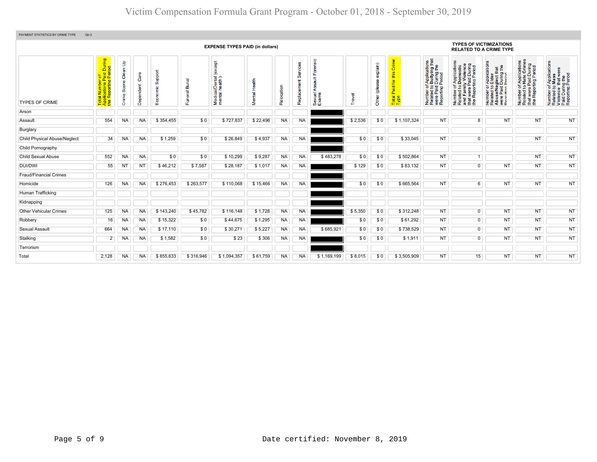| PAYMENT STATISTICS BY CRIME TYPE<br>Qtr:3 |                                                                              |                      |                   |                     |                |                                              |                               |            |                         |                                       |         |                              |                                                            |                                                                                                                                            |                                                                                                                                                         |                                                                                                                                                                                 |                                                                                                                                                 |                                                                                                        |
|-------------------------------------------|------------------------------------------------------------------------------|----------------------|-------------------|---------------------|----------------|----------------------------------------------|-------------------------------|------------|-------------------------|---------------------------------------|---------|------------------------------|------------------------------------------------------------|--------------------------------------------------------------------------------------------------------------------------------------------|---------------------------------------------------------------------------------------------------------------------------------------------------------|---------------------------------------------------------------------------------------------------------------------------------------------------------------------------------|-------------------------------------------------------------------------------------------------------------------------------------------------|--------------------------------------------------------------------------------------------------------|
|                                           |                                                                              |                      |                   |                     |                | <b>EXPENSE TYPES PAID (in dollars)</b>       |                               |            |                         |                                       |         |                              |                                                            |                                                                                                                                            | <b>TYPES OF VICTIMIZATIONS</b><br><b>RELATED TO A CRIME TYPE</b>                                                                                        |                                                                                                                                                                                 |                                                                                                                                                 |                                                                                                        |
| <b>TYPES OF CRIME</b>                     | tal Number of<br>plications Paid During<br>∍ Reporting Period<br><b>Pape</b> | Crime Scene Clean Up | Care<br>Dependent | Support<br>Economic | Funeral Burial | except<br>Medical/Dental (<br>mental health) | Health<br>Mental <sup>1</sup> | Relocation | Services<br>Replacement | Forensic<br>ã<br>∢<br>Sexual<br>Exams | Travel  | explain)<br>இ<br>Other (plea | Crime<br>this<br>tor<br>Paid <sup>-</sup><br>Total<br>Type | f Applications<br>b Bullying that<br>I During the<br>Period<br>Number of,<br>Related to I<br>were Paid<br>Reporting F<br>Number<br>Related | f Applications<br>Domestic<br>ly Violence<br>Paid During<br>rting Period<br>$\overline{5}$<br>twere I<br>Number<br>Related<br>and Fam<br>E <sup>e</sup> | r Applications<br>Elder<br>that<br>g the<br>glect th<br>During<br>Period<br>$\overline{5}$ $\overline{2}$ .<br>Number of<br>Related to<br>Abuse/Neg<br>were Paid<br>Reporting I | Applications<br>Hate Crimes<br>t were Paid During<br>· Reporting Period<br>$\overline{5}$ $\overline{2}$<br>Number<br>Related t<br>the <b>F</b> | Number of Applications<br>Related to Mass<br>Violence that were<br>Paid During the<br>Reporting Period |
| Arson                                     |                                                                              |                      |                   |                     |                |                                              |                               |            |                         |                                       |         |                              |                                                            |                                                                                                                                            |                                                                                                                                                         |                                                                                                                                                                                 |                                                                                                                                                 |                                                                                                        |
| Assault                                   | 554                                                                          | <b>NA</b>            | <b>NA</b>         | \$354,455           | \$0            | \$727,837                                    | \$22,496                      | <b>NA</b>  | <b>NA</b>               |                                       | \$2,536 | \$0                          | \$1,107,324                                                | <b>NT</b>                                                                                                                                  | $\overline{8}$                                                                                                                                          | <b>NT</b>                                                                                                                                                                       | <b>NT</b>                                                                                                                                       | <b>NT</b>                                                                                              |
| Burglary                                  |                                                                              |                      |                   |                     |                |                                              |                               |            |                         |                                       |         |                              |                                                            |                                                                                                                                            |                                                                                                                                                         |                                                                                                                                                                                 |                                                                                                                                                 |                                                                                                        |
| <b>Child Physical Abuse/Neglect</b>       | 34                                                                           | NA                   | <b>NA</b>         | \$1,259             | \$0            | \$26,849                                     | \$4,937                       | NA         | <b>NA</b>               |                                       | \$0     | \$0                          | \$33,045                                                   | <b>NT</b>                                                                                                                                  | $\mathbf{0}$                                                                                                                                            |                                                                                                                                                                                 | <b>NT</b>                                                                                                                                       | <b>NT</b>                                                                                              |
| Child Pornography                         |                                                                              |                      |                   |                     |                |                                              |                               |            |                         |                                       |         |                              |                                                            |                                                                                                                                            |                                                                                                                                                         |                                                                                                                                                                                 |                                                                                                                                                 |                                                                                                        |
| <b>Child Sexual Abuse</b>                 | 552                                                                          | <b>NA</b>            | <b>NA</b>         | \$0                 | \$0            | \$10,299                                     | \$9,287                       | <b>NA</b>  | <b>NA</b>               | \$483,278                             | \$0     | \$0                          | \$502,864                                                  | <b>NT</b>                                                                                                                                  |                                                                                                                                                         |                                                                                                                                                                                 | <b>NT</b>                                                                                                                                       | <b>NT</b>                                                                                              |
| <b>DUI/DWI</b>                            | 55                                                                           | ΝI                   | N <sub>T</sub>    | \$46,212            | \$7,587        | \$28,187                                     | \$1,017                       | <b>NA</b>  | <b>NA</b>               |                                       | \$129   | \$0                          | \$83,132                                                   | <b>NT</b>                                                                                                                                  | $\overline{0}$                                                                                                                                          | <b>NT</b>                                                                                                                                                                       | <b>NT</b>                                                                                                                                       | <b>NT</b>                                                                                              |
| <b>Fraud/Financial Crimes</b>             |                                                                              |                      |                   |                     |                |                                              |                               |            |                         |                                       |         |                              |                                                            |                                                                                                                                            |                                                                                                                                                         |                                                                                                                                                                                 |                                                                                                                                                 |                                                                                                        |
| Homicide                                  | 126                                                                          | NA.                  | <b>NA</b>         | \$276,453           | \$263,577      | \$110,068                                    | \$15,466                      | <b>NA</b>  | <b>NA</b>               |                                       | \$0     | \$0                          | \$665,564                                                  | <b>NT</b>                                                                                                                                  | 6                                                                                                                                                       | <b>NT</b>                                                                                                                                                                       | <b>NT</b>                                                                                                                                       | <b>NT</b>                                                                                              |
| Human Trafficking                         |                                                                              |                      |                   |                     |                |                                              |                               |            |                         |                                       |         |                              |                                                            |                                                                                                                                            |                                                                                                                                                         |                                                                                                                                                                                 |                                                                                                                                                 |                                                                                                        |
| Kidnapping                                |                                                                              |                      |                   |                     |                |                                              |                               |            |                         |                                       |         |                              |                                                            |                                                                                                                                            |                                                                                                                                                         |                                                                                                                                                                                 |                                                                                                                                                 |                                                                                                        |
| <b>Other Vehicular Crimes</b>             | 125                                                                          | <b>NA</b>            | <b>NA</b>         | \$143,240           | \$45,782       | \$116,148                                    | \$1,728                       | <b>NA</b>  | NA                      |                                       | \$5,350 | \$0                          | \$312,248                                                  | <b>NT</b>                                                                                                                                  | $\overline{0}$                                                                                                                                          | <b>NT</b>                                                                                                                                                                       | <b>NT</b>                                                                                                                                       | <b>NT</b>                                                                                              |
| Robbery                                   | 16                                                                           | <b>NA</b>            | <b>NA</b>         | \$15,322            | \$0            | \$44,675                                     | \$1,295                       | <b>NA</b>  | NA                      |                                       | \$0     | \$0                          | \$61,292                                                   | <b>NT</b>                                                                                                                                  | $\overline{0}$                                                                                                                                          | <b>NT</b>                                                                                                                                                                       | <b>NT</b>                                                                                                                                       | <b>NT</b>                                                                                              |
| Sexual Assault                            | 664                                                                          | <b>NA</b>            | <b>NA</b>         | \$17,110            | \$0            | \$30,271                                     | \$5,227                       | <b>NA</b>  | <b>NA</b>               | \$685,921                             | \$0     | \$0                          | \$738,529                                                  | <b>NT</b>                                                                                                                                  | $\overline{0}$                                                                                                                                          | <b>NT</b>                                                                                                                                                                       | <b>NT</b>                                                                                                                                       | <b>NT</b>                                                                                              |
| Stalking                                  | $\overline{2}$                                                               | NA.                  | <b>NA</b>         | \$1,582             | \$0            | \$23                                         | \$306                         | <b>NA</b>  | <b>NA</b>               |                                       | \$0     | \$0                          | \$1,911                                                    | <b>NT</b>                                                                                                                                  | $\overline{0}$                                                                                                                                          | <b>NT</b>                                                                                                                                                                       | <b>NT</b>                                                                                                                                       | <b>NT</b>                                                                                              |
| Terrorism                                 |                                                                              |                      |                   |                     |                |                                              |                               |            |                         |                                       |         |                              |                                                            |                                                                                                                                            |                                                                                                                                                         |                                                                                                                                                                                 |                                                                                                                                                 |                                                                                                        |
| Total                                     | 2,128                                                                        | <b>NA</b>            | <b>NA</b>         | \$855,633           | \$316,946      | \$1,094,357                                  | \$61,759                      | <b>NA</b>  | <b>NA</b>               | \$1,169,199                           | \$8,015 | \$0                          | \$3,505,909                                                | <b>NT</b>                                                                                                                                  | 15                                                                                                                                                      | <b>NT</b>                                                                                                                                                                       | <b>NT</b>                                                                                                                                       | <b>NT</b>                                                                                              |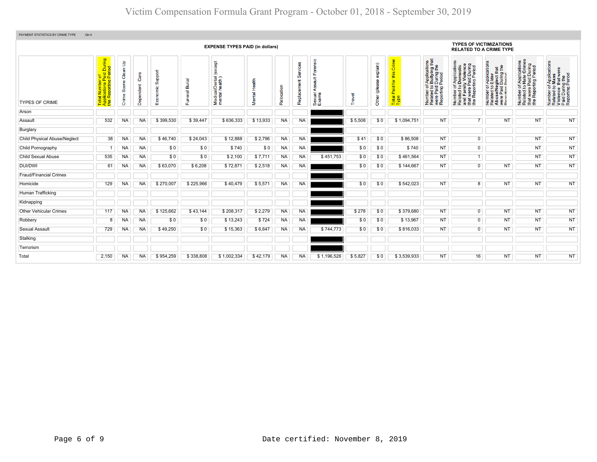| PAYMENT STATISTICS BY CRIME TYPE<br>Qtr:4<br><b>TYPES OF VICTIMIZATIONS</b> |                                                                                                 |                      |                   |                                         |                |                                              |               |            |                         |                                         |         |                           |                                            |                                                                                                                                                |                                                                                                                                                                    |                                                                                                                                                                    |                                                                                                                                 |                                                                                                        |
|-----------------------------------------------------------------------------|-------------------------------------------------------------------------------------------------|----------------------|-------------------|-----------------------------------------|----------------|----------------------------------------------|---------------|------------|-------------------------|-----------------------------------------|---------|---------------------------|--------------------------------------------|------------------------------------------------------------------------------------------------------------------------------------------------|--------------------------------------------------------------------------------------------------------------------------------------------------------------------|--------------------------------------------------------------------------------------------------------------------------------------------------------------------|---------------------------------------------------------------------------------------------------------------------------------|--------------------------------------------------------------------------------------------------------|
|                                                                             |                                                                                                 |                      |                   |                                         |                | <b>EXPENSE TYPES PAID (in dollars)</b>       |               |            |                         |                                         |         |                           |                                            |                                                                                                                                                | <b>RELATED TO A CRIME TYPE</b>                                                                                                                                     |                                                                                                                                                                    |                                                                                                                                 |                                                                                                        |
| <b>TYPES OF CRIME</b>                                                       | During<br>iod<br>าber of<br>ris Paid  <br>ting Peri<br><b>uication</b><br>Report<br>Tota<br>App | Crime Scene Clean Up | Care<br>Dependent | <b>Suppor</b><br>$rac{c}{E}$<br>8<br>шī | Funeral Burial | except<br>Medical/Dental (<br>mental health) | Mental Health | Relocation | Services<br>Replacement | Forensic<br>ā<br>∢<br>Sexual /<br>Exams | Travel  | explain)<br>Other (please | Crime<br>this<br>Paid for<br>Total<br>Type | f Applications<br>b Bullying that<br>I During the<br>Period<br>Number of,<br>Related to I<br>were Paid I<br>Reporting F<br>Number<br>Related t | f Applications<br>Domestic<br>ly Violence<br>Number of Applications<br>Related to Domestic<br>and Family Violence<br>that were Paid During<br>the Reporting Period | r Applications<br>Elder<br>that<br>g the<br>glect th<br>During<br>Period<br>$\overline{5}$<br>Number of<br>Related to I<br>Abuse/Neg<br>were Paid I<br>Reporting B | <b>Applications</b><br>Hate Crimes<br>were Paid During<br>Reporting Period<br>5Q<br>Number<br>Related t<br>that<br>the <b>F</b> | Number of Applications<br>Related to Mass<br>Violence that were<br>Paid During the<br>Reporting Period |
| Arson                                                                       |                                                                                                 |                      |                   |                                         |                |                                              |               |            |                         |                                         |         |                           |                                            |                                                                                                                                                |                                                                                                                                                                    |                                                                                                                                                                    |                                                                                                                                 |                                                                                                        |
| Assault                                                                     | 532                                                                                             | NA                   | NA                | \$399,530                               | \$39,447       | \$636,333                                    | \$13,933      | <b>NA</b>  | <b>NA</b>               |                                         | \$5,508 | \$0                       | \$1,094,751                                | <b>NT</b>                                                                                                                                      |                                                                                                                                                                    | <b>NT</b>                                                                                                                                                          | <b>NT</b>                                                                                                                       | <b>NT</b>                                                                                              |
| Burglary                                                                    |                                                                                                 |                      |                   |                                         |                |                                              |               |            |                         |                                         |         |                           |                                            |                                                                                                                                                |                                                                                                                                                                    |                                                                                                                                                                    |                                                                                                                                 |                                                                                                        |
| <b>Child Physical Abuse/Neglect</b>                                         | 38                                                                                              | <b>NA</b>            | NA                | \$46.740                                | \$24,043       | \$12,888                                     | \$2,796       | <b>NA</b>  | <b>NA</b>               |                                         | \$41    | \$0                       | \$86,508                                   | <b>NT</b>                                                                                                                                      | $\overline{0}$                                                                                                                                                     |                                                                                                                                                                    | <b>NT</b>                                                                                                                       | <b>NT</b>                                                                                              |
| Child Pornography                                                           | 1                                                                                               | <b>NA</b>            | <b>NA</b>         | \$0                                     | \$0            | \$740                                        | \$0           | <b>NA</b>  | <b>NA</b>               |                                         | \$0     | \$0                       | \$740                                      | <b>NT</b>                                                                                                                                      | $\overline{0}$                                                                                                                                                     |                                                                                                                                                                    | <b>NT</b>                                                                                                                       | NT                                                                                                     |
| <b>Child Sexual Abuse</b>                                                   | 535                                                                                             | <b>NA</b>            | <b>NA</b>         | \$0                                     | \$0            | \$2,100                                      | \$7,711       | <b>NA</b>  | <b>NA</b>               | \$451,753                               | \$0     | \$0                       | \$461,564                                  | <b>NT</b>                                                                                                                                      | $\overline{1}$                                                                                                                                                     |                                                                                                                                                                    | NT                                                                                                                              | NT                                                                                                     |
| <b>DUI/DWI</b>                                                              | 61                                                                                              | <b>NA</b>            | <b>NA</b>         | \$63,070                                | \$6,208        | \$72,871                                     | \$2,518       | <b>NA</b>  | NA                      |                                         | \$0     | \$0                       | \$144,667                                  | <b>NT</b>                                                                                                                                      | $\overline{0}$                                                                                                                                                     | NT                                                                                                                                                                 | <b>NT</b>                                                                                                                       | NT                                                                                                     |
| <b>Fraud/Financial Crimes</b>                                               |                                                                                                 |                      |                   |                                         |                |                                              |               |            |                         |                                         |         |                           |                                            |                                                                                                                                                |                                                                                                                                                                    |                                                                                                                                                                    |                                                                                                                                 |                                                                                                        |
| Homicide                                                                    | 129                                                                                             | <b>NA</b>            | NA                | \$270,007                               | \$225,966      | \$40,479                                     | \$5,571       | <b>NA</b>  | NA                      |                                         | \$0     | \$0                       | \$542,023                                  | <b>NT</b>                                                                                                                                      | $\overline{8}$                                                                                                                                                     | <b>NT</b>                                                                                                                                                          | <b>NT</b>                                                                                                                       | <b>NT</b>                                                                                              |
| Human Trafficking                                                           |                                                                                                 |                      |                   |                                         |                |                                              |               |            |                         |                                         |         |                           |                                            |                                                                                                                                                |                                                                                                                                                                    |                                                                                                                                                                    |                                                                                                                                 |                                                                                                        |
| Kidnapping                                                                  |                                                                                                 |                      |                   |                                         |                |                                              |               |            |                         |                                         |         |                           |                                            |                                                                                                                                                |                                                                                                                                                                    |                                                                                                                                                                    |                                                                                                                                 |                                                                                                        |
| <b>Other Vehicular Crimes</b>                                               | 117                                                                                             | <b>NA</b>            | <b>NA</b>         | \$125,662                               | \$43,144       | \$208,317                                    | \$2,279       | <b>NA</b>  | <b>NA</b>               |                                         | \$278   | \$0                       | \$379,680                                  | <b>NT</b>                                                                                                                                      | $\overline{0}$                                                                                                                                                     | <b>NT</b>                                                                                                                                                          | NT                                                                                                                              | <b>NT</b>                                                                                              |
| Robbery                                                                     | 8                                                                                               | <b>NA</b>            | <b>NA</b>         | \$0                                     | \$0            | \$13,243                                     | \$724         | <b>NA</b>  | NA                      |                                         | \$0     | \$0                       | \$13,967                                   | <b>NT</b>                                                                                                                                      | $\overline{0}$                                                                                                                                                     | <b>NT</b>                                                                                                                                                          | NT                                                                                                                              | <b>NT</b>                                                                                              |
| <b>Sexual Assault</b>                                                       | 729                                                                                             | <b>NA</b>            | <b>NA</b>         | \$49,250                                | \$0            | \$15,363                                     | \$6,647       | <b>NA</b>  | NA                      | \$744,773                               | \$0     | \$0                       | \$816,033                                  | <b>NT</b>                                                                                                                                      | $\Omega$                                                                                                                                                           | <b>NT</b>                                                                                                                                                          | <b>NT</b>                                                                                                                       | <b>NT</b>                                                                                              |
| Stalking                                                                    |                                                                                                 |                      |                   |                                         |                |                                              |               |            |                         |                                         |         |                           |                                            |                                                                                                                                                |                                                                                                                                                                    |                                                                                                                                                                    |                                                                                                                                 |                                                                                                        |
| Terrorism                                                                   |                                                                                                 |                      |                   |                                         |                |                                              |               |            |                         |                                         |         |                           |                                            |                                                                                                                                                |                                                                                                                                                                    |                                                                                                                                                                    |                                                                                                                                 |                                                                                                        |
| Total                                                                       | 2.150                                                                                           | <b>NA</b>            | <b>NA</b>         | \$954.259                               | \$338,808      | \$1.002.334                                  | \$42.179      | <b>NA</b>  | <b>NA</b>               | \$1.196.526                             | \$5,827 | \$0                       | \$3.539.933                                | <b>NT</b>                                                                                                                                      | 16                                                                                                                                                                 | <b>NT</b>                                                                                                                                                          | <b>NT</b>                                                                                                                       | <b>NT</b>                                                                                              |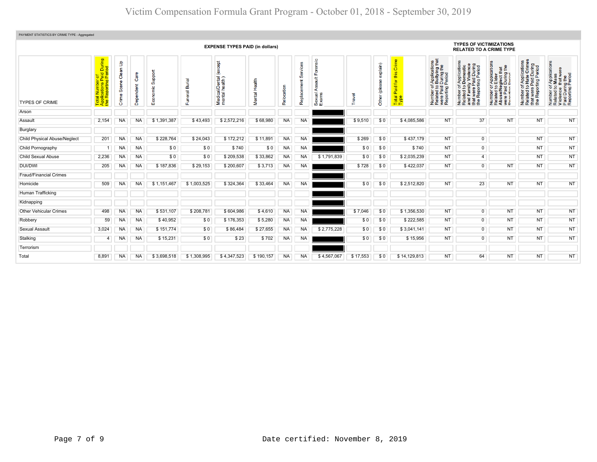| PAYMENT STATISTICS BY CRIME TYPE - Aggregated |                                                                            |                               |                   |                 |                     |                                              |               |            |                         |                                       |          |                                 |                                                                       |                                                                                                                                        |                                                                                                                       |                                                                                                                                                           |                                                                                                                           |                                                                                                        |
|-----------------------------------------------|----------------------------------------------------------------------------|-------------------------------|-------------------|-----------------|---------------------|----------------------------------------------|---------------|------------|-------------------------|---------------------------------------|----------|---------------------------------|-----------------------------------------------------------------------|----------------------------------------------------------------------------------------------------------------------------------------|-----------------------------------------------------------------------------------------------------------------------|-----------------------------------------------------------------------------------------------------------------------------------------------------------|---------------------------------------------------------------------------------------------------------------------------|--------------------------------------------------------------------------------------------------------|
|                                               | <b>EXPENSE TYPES PAID (in dollars)</b>                                     |                               |                   |                 |                     |                                              |               |            |                         |                                       |          |                                 |                                                                       | <b>TYPES OF VICTIMIZATIONS</b><br><b>RELATED TO A CRIME TYPE</b>                                                                       |                                                                                                                       |                                                                                                                                                           |                                                                                                                           |                                                                                                        |
| <b>TYPES OF CRIME</b>                         | During<br>iod<br><b>plications</b> Pa<br>Reporting F<br><b>Tote</b><br>App | နှ<br>Clean<br>Scene<br>Crime | Care<br>Dependent | pppo<br>ശ്<br>ш | uneral Burial<br>ű. | except<br>Medical/Dental (<br>mental health) | Mental Health | Relocation | Services<br>Replacement | Forensic<br>t<br>∢<br>Sexual<br>Exams | Travel   | exp(ain)<br>8<br>(plea<br>Other | Crime<br>this<br>$\overline{5}$<br>Paid <sup>-</sup><br>Total<br>Type | f Applications<br>b Bullying that<br>I During the<br>Period<br>Number of <i>I</i><br>Related to <b>E</b><br>were Paid L<br>Reporting P | Number of Applications<br>Related to Domestic<br>and Family Violence<br>that were Paid During<br>the Reporting Period | T Applications<br>• Elder<br>• glect that<br>During the<br>Pariod<br>Number of <i>I</i><br>Related to <b>E</b><br>Abuse/Neg<br>Were Paid L<br>Reporting P | mber of Applications<br>lated to Hate Crimes<br>at were Paid During<br>9 Reporting Period<br>Number<br>Related t<br>the i | Number of Applications<br>Related to Mass<br>Violence that were<br>Paid During the<br>Reporting Period |
| Arson                                         |                                                                            |                               |                   |                 |                     |                                              |               |            |                         |                                       |          |                                 |                                                                       |                                                                                                                                        |                                                                                                                       |                                                                                                                                                           |                                                                                                                           |                                                                                                        |
| Assault                                       | 2,154                                                                      | <b>NA</b>                     | <b>NA</b>         | \$1,391,387     | \$43,493            | \$2,572,216                                  | \$68,980      | <b>NA</b>  | <b>NA</b>               |                                       | \$9,510  | \$0                             | \$4,085,586                                                           | NT                                                                                                                                     | 37                                                                                                                    | <b>NT</b>                                                                                                                                                 | <b>NT</b>                                                                                                                 | <b>NT</b>                                                                                              |
| Burglary                                      |                                                                            |                               |                   |                 |                     |                                              |               |            |                         |                                       |          |                                 |                                                                       |                                                                                                                                        |                                                                                                                       |                                                                                                                                                           |                                                                                                                           |                                                                                                        |
| <b>Child Physical Abuse/Neglect</b>           | 201                                                                        | <b>NA</b>                     | <b>NA</b>         | \$228,764       | \$24,043            | \$172,212                                    | \$11,891      | NA         | <b>NA</b>               |                                       | \$269    | \$0                             | \$437,179                                                             | <b>NT</b>                                                                                                                              | $\overline{0}$                                                                                                        |                                                                                                                                                           | <b>NT</b>                                                                                                                 | <b>NT</b>                                                                                              |
| Child Pornography                             |                                                                            | NA                            | NA                | \$0             | \$0                 | \$740                                        | \$0           | NA         | <b>NA</b>               |                                       | \$0      | \$0                             | \$740                                                                 | <b>NT</b>                                                                                                                              | $\overline{0}$                                                                                                        |                                                                                                                                                           | <b>NT</b>                                                                                                                 | <b>NT</b>                                                                                              |
| Child Sexual Abuse                            | 2,236                                                                      | <b>NA</b>                     | <b>NA</b>         | \$0             | \$0                 | \$209,538                                    | \$33,862      | NA         | <b>NA</b>               | \$1,791,839                           | \$0      | \$0                             | \$2,035,239                                                           | <b>NT</b>                                                                                                                              | $\overline{4}$                                                                                                        |                                                                                                                                                           | <b>NT</b>                                                                                                                 | <b>NT</b>                                                                                              |
| <b>DUI/DWI</b>                                | 205                                                                        | <b>NA</b>                     | <b>NA</b>         | \$187,836       | \$29,153            | \$200,607                                    | \$3,713       | <b>NA</b>  | NA                      |                                       | \$728    | \$0                             | \$422,037                                                             | <b>NT</b>                                                                                                                              | $\overline{0}$                                                                                                        | <b>NT</b>                                                                                                                                                 | <b>NT</b>                                                                                                                 | <b>NT</b>                                                                                              |
| <b>Fraud/Financial Crimes</b>                 |                                                                            |                               |                   |                 |                     |                                              |               |            |                         |                                       |          |                                 |                                                                       |                                                                                                                                        |                                                                                                                       |                                                                                                                                                           |                                                                                                                           |                                                                                                        |
| Homicide                                      | 509                                                                        | <b>NA</b>                     | <b>NA</b>         | \$1,151,467     | \$1,003,525         | \$324,364                                    | \$33,464      | NA         | NA                      |                                       | \$0      | \$0                             | \$2,512,820                                                           | <b>NT</b>                                                                                                                              | 23                                                                                                                    | <b>NT</b>                                                                                                                                                 | <b>NT</b>                                                                                                                 | <b>NT</b>                                                                                              |
| Human Trafficking                             |                                                                            |                               |                   |                 |                     |                                              |               |            |                         |                                       |          |                                 |                                                                       |                                                                                                                                        |                                                                                                                       |                                                                                                                                                           |                                                                                                                           |                                                                                                        |
| Kidnapping                                    |                                                                            |                               |                   |                 |                     |                                              |               |            |                         |                                       |          |                                 |                                                                       |                                                                                                                                        |                                                                                                                       |                                                                                                                                                           |                                                                                                                           |                                                                                                        |
| <b>Other Vehicular Crimes</b>                 | 498                                                                        | NA.                           | NA                | \$531,107       | \$208,781           | \$604,986                                    | \$4,610       | <b>NA</b>  | <b>NA</b>               |                                       | \$7,046  | \$0                             | \$1,356,530                                                           | <b>NT</b>                                                                                                                              | $\overline{0}$                                                                                                        | <b>NT</b>                                                                                                                                                 | <b>NT</b>                                                                                                                 | <b>NT</b>                                                                                              |
| Robbery                                       | 59                                                                         | NA                            | NA                | \$40,952        | \$0                 | \$176,353                                    | \$5,280       | NA         | <b>NA</b>               |                                       | \$0      | \$0                             | \$222,585                                                             | <b>NT</b>                                                                                                                              | $\overline{0}$                                                                                                        | <b>NT</b>                                                                                                                                                 | <b>NT</b>                                                                                                                 | <b>NT</b>                                                                                              |
| Sexual Assault                                | 3,024                                                                      | NA                            | <b>NA</b>         | \$151,774       | \$0                 | \$86,484                                     | \$27,655      | <b>NA</b>  | <b>NA</b>               | \$2,775,228                           | \$0      | \$0                             | \$3,041,141                                                           | <b>NT</b>                                                                                                                              | $\overline{0}$                                                                                                        | <b>NT</b>                                                                                                                                                 | <b>NT</b>                                                                                                                 | <b>NT</b>                                                                                              |
| Stalking                                      | 4                                                                          | NA                            | <b>NA</b>         | \$15,231        | \$0                 | \$23                                         | \$702         | <b>NA</b>  | <b>NA</b>               |                                       | \$0      | \$0                             | \$15,956                                                              | <b>NT</b>                                                                                                                              | $\overline{0}$                                                                                                        | <b>NT</b>                                                                                                                                                 | <b>NT</b>                                                                                                                 | <b>NT</b>                                                                                              |
| Terrorism                                     |                                                                            |                               |                   |                 |                     |                                              |               |            |                         |                                       |          |                                 |                                                                       |                                                                                                                                        |                                                                                                                       |                                                                                                                                                           |                                                                                                                           |                                                                                                        |
| Total                                         | 8,891                                                                      | <b>NA</b>                     | <b>NA</b>         | \$3,698,518     | \$1,308,995         | \$4,347,523                                  | \$190,157     | <b>NA</b>  | <b>NA</b>               | \$4,567,067                           | \$17,553 | \$0                             | \$14,129,813                                                          | <b>NT</b>                                                                                                                              | 64                                                                                                                    | <b>NT</b>                                                                                                                                                 | <b>NT</b>                                                                                                                 | <b>NT</b>                                                                                              |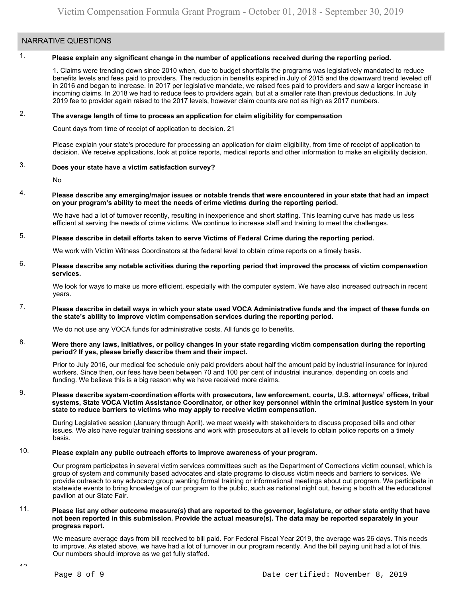# NARRATIVE QUESTIONS

# 1. **Please explain any significant change in the number of applications received during the reporting period.**

1. Claims were trending down since 2010 when, due to budget shortfalls the programs was legislatively mandated to reduce benefits levels and fees paid to providers. The reduction in benefits expired in July of 2015 and the downward trend leveled off in 2016 and began to increase. In 2017 per legislative mandate, we raised fees paid to providers and saw a larger increase in incoming claims. In 2018 we had to reduce fees to providers again, but at a smaller rate than previous deductions. In July 2019 fee to provider again raised to the 2017 levels, however claim counts are not as high as 2017 numbers.

# 2. **The average length of time to process an application for claim eligibility for compensation**

Count days from time of receipt of application to decision. 21

Please explain your state's procedure for processing an application for claim eligibility, from time of receipt of application to decision. We receive applications, look at police reports, medical reports and other information to make an eligibility decision.

# 3. **Does your state have a victim satisfaction survey?**

No

# 4. **Please describe any emerging/major issues or notable trends that were encountered in your state that had an impact on your program's ability to meet the needs of crime victims during the reporting period.**

We have had a lot of turnover recently, resulting in inexperience and short staffing. This learning curve has made us less efficient at serving the needs of crime victims. We continue to increase staff and training to meet the challenges.

# 5. **Please describe in detail efforts taken to serve Victims of Federal Crime during the reporting period.**

We work with Victim Witness Coordinators at the federal level to obtain crime reports on a timely basis.

### 6. **Please describe any notable activities during the reporting period that improved the process of victim compensation services.**

We look for ways to make us more efficient, especially with the computer system. We have also increased outreach in recent years.

### 7. **Please describe in detail ways in which your state used VOCA Administrative funds and the impact of these funds on the state's ability to improve victim compensation services during the reporting period.**

We do not use any VOCA funds for administrative costs. All funds go to benefits.

### 8. **Were there any laws, initiatives, or policy changes in your state regarding victim compensation during the reporting period? If yes, please briefly describe them and their impact.**

Prior to July 2016, our medical fee schedule only paid providers about half the amount paid by industrial insurance for injured workers. Since then, our fees have been between 70 and 100 per cent of industrial insurance, depending on costs and funding. We believe this is a big reason why we have received more claims.

#### 9. **Please describe system-coordination efforts with prosecutors, law enforcement, courts, U.S. attorneys' offices, tribal systems, State VOCA Victim Assistance Coordinator, or other key personnel within the criminal justice system in your state to reduce barriers to victims who may apply to receive victim compensation.**

During Legislative session (January through April). we meet weekly with stakeholders to discuss proposed bills and other issues. We also have regular training sessions and work with prosecutors at all levels to obtain police reports on a timely basis.

# 10. **Please explain any public outreach efforts to improve awareness of your program.**

Our program participates in several victim services committees such as the Department of Corrections victim counsel, which is group of system and community based advocates and state programs to discuss victim needs and barriers to services. We provide outreach to any advocacy group wanting formal training or informational meetings about out program. We participate in statewide events to bring knowledge of our program to the public, such as national night out, having a booth at the educational pavilion at our State Fair.

#### 11. **Please list any other outcome measure(s) that are reported to the governor, legislature, or other state entity that have not been reported in this submission. Provide the actual measure(s). The data may be reported separately in your progress report.**

We measure average days from bill received to bill paid. For Federal Fiscal Year 2019, the average was 26 days. This needs to improve. As stated above, we have had a lot of turnover in our program recently. And the bill paying unit had a lot of this. Our numbers should improve as we get fully staffed.